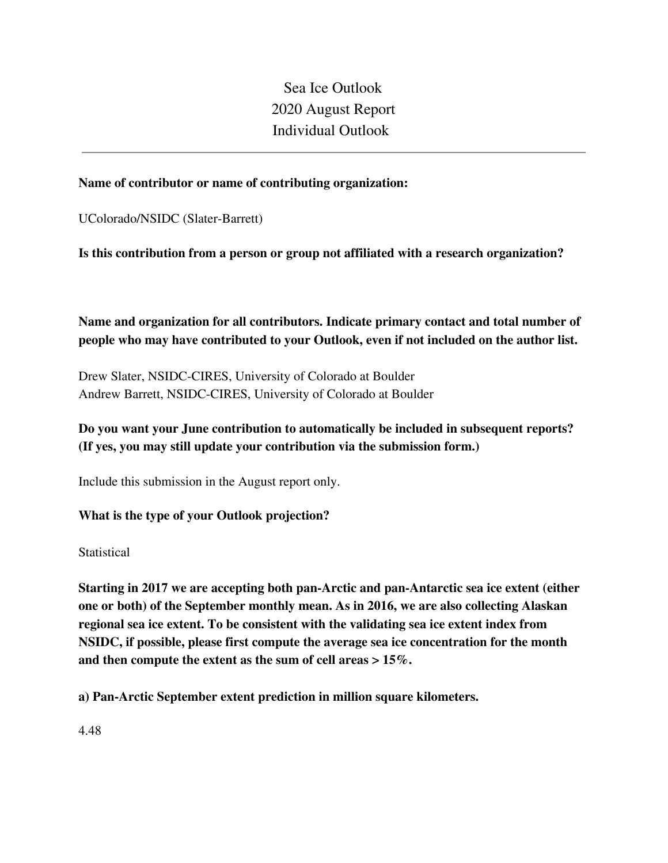Sea Ice Outlook 2020 August Report Individual Outlook

## **Name of contributor or name of contributing organization:**

UColorado/NSIDC (Slater-Barrett)

**Is this contribution from a person or group not affiliated with a research organization?** 

**Name and organization for all contributors. Indicate primary contact and total number of people who may have contributed to your Outlook, even if not included on the author list.**

Drew Slater, NSIDC-CIRES, University of Colorado at Boulder Andrew Barrett, NSIDC-CIRES, University of Colorado at Boulder

## **Do you want your June contribution to automatically be included in subsequent reports? (If yes, you may still update your contribution via the submission form.)**

Include this submission in the August report only.

**What is the type of your Outlook projection?** 

**Statistical** 

**Starting in 2017 we are accepting both pan-Arctic and pan-Antarctic sea ice extent (either one or both) of the September monthly mean. As in 2016, we are also collecting Alaskan regional sea ice extent. To be consistent with the validating sea ice extent index from NSIDC, if possible, please first compute the average sea ice concentration for the month and then compute the extent as the sum of cell areas > 15%.**

**a) Pan-Arctic September extent prediction in million square kilometers.**

4.48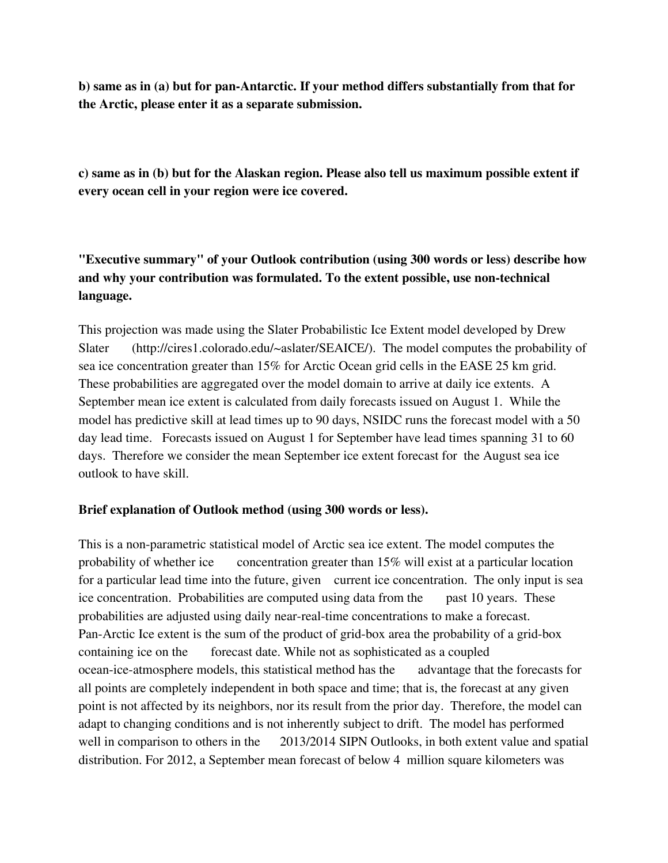**b) same as in (a) but for pan-Antarctic. If your method differs substantially from that for the Arctic, please enter it as a separate submission.**

**c) same as in (b) but for the Alaskan region. Please also tell us maximum possible extent if every ocean cell in your region were ice covered.**

**"Executive summary" of your Outlook contribution (using 300 words or less) describe how and why your contribution was formulated. To the extent possible, use non-technical language.**

This projection was made using the Slater Probabilistic Ice Extent model developed by Drew Slater (http://cires1.colorado.edu/~aslater/SEAICE/). The model computes the probability of sea ice concentration greater than 15% for Arctic Ocean grid cells in the EASE 25 km grid. These probabilities are aggregated over the model domain to arrive at daily ice extents. A September mean ice extent is calculated from daily forecasts issued on August 1. While the model has predictive skill at lead times up to 90 days, NSIDC runs the forecast model with a 50 day lead time. Forecasts issued on August 1 for September have lead times spanning 31 to 60 days. Therefore we consider the mean September ice extent forecast for the August sea ice outlook to have skill.

## **Brief explanation of Outlook method (using 300 words or less).**

This is a non-parametric statistical model of Arctic sea ice extent. The model computes the probability of whether ice concentration greater than 15% will exist at a particular location for a particular lead time into the future, given current ice concentration. The only input is sea ice concentration. Probabilities are computed using data from the past 10 years. These probabilities are adjusted using daily near-real-time concentrations to make a forecast. Pan-Arctic Ice extent is the sum of the product of grid-box area the probability of a grid-box containing ice on the forecast date. While not as sophisticated as a coupled ocean-ice-atmosphere models, this statistical method has the advantage that the forecasts for all points are completely independent in both space and time; that is, the forecast at any given point is not affected by its neighbors, nor its result from the prior day. Therefore, the model can adapt to changing conditions and is not inherently subject to drift. The model has performed well in comparison to others in the 2013/2014 SIPN Outlooks, in both extent value and spatial distribution. For 2012, a September mean forecast of below 4 million square kilometers was